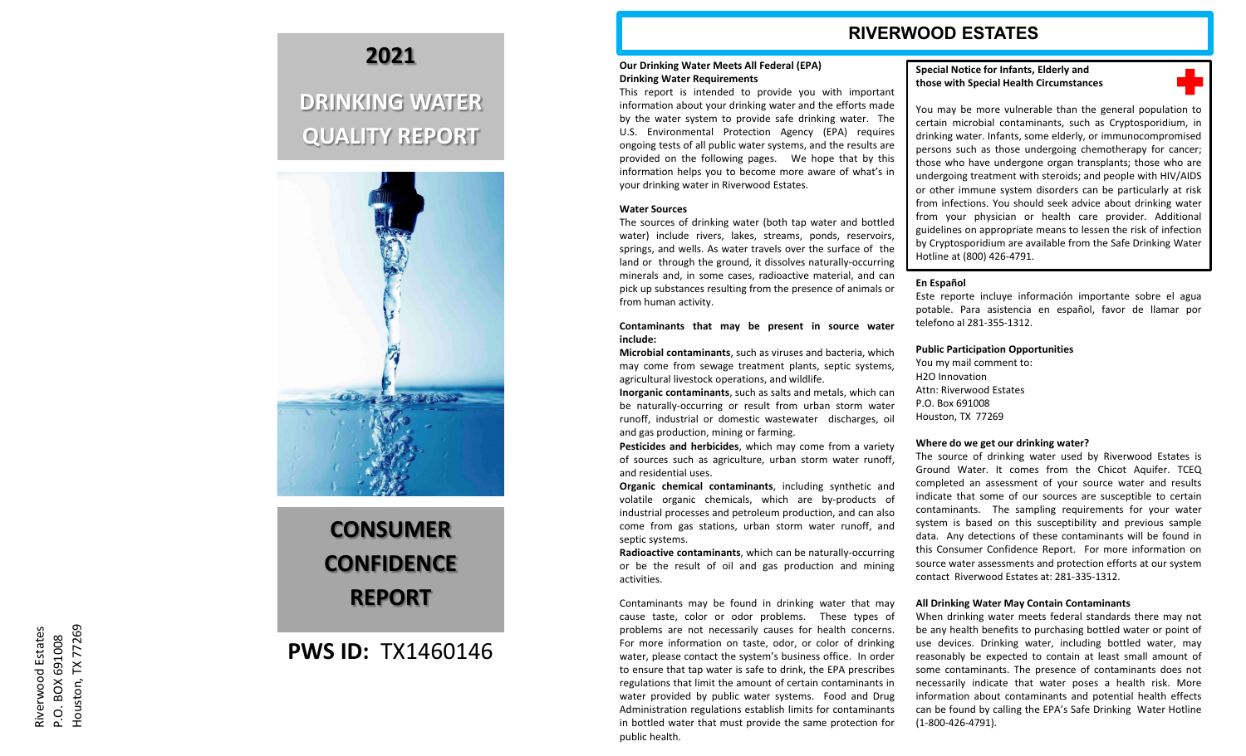### **RIVERWOOD ESTATES**

#### **Our Drinking Water Meets All Federal (EPA) Drinking Water Requirements**

This report is intended to provide you with important information about your drinking water and the efforts made by the water system to provide safe drinking water . The U . S . Environmental Protection Agency (EPA) requires ongoing tests of all public water systems, and the results are provided on the following pages . We hope that by this information helps you to become more aware of what's in your drinking water in Riverwood Estates .

#### **Water Sources**

The sources of drinking water (both tap water and bottled water) include rivers, lakes, streams, ponds, reservoirs, springs, and wells . As water travels over the surface of the land or through the ground, it dissolves naturally -occurring minerals and, in some cases, radioactive material, and can pick up substances resulting from the presence of animals or from human activity .

#### **Contaminants that may be present in source water include :**

**Microbial contaminants** , such as viruses and bacteria, which may come from sewage treatment plants, septic systems, agricultural livestock operations, and wildlife .

Inorganic contaminants, such as salts and metals, which can be naturally -occurring or result from urban storm water runoff, industrial or domestic wastewater discharges, oil and gas production, mining or farming .

**Pesticides and herbicides** , which may come from a variety of sources such as agriculture, urban storm water runoff, and residential uses .

**Organic chemical contaminants** , including synthetic and volatile organic chemicals, which are by -products of industrial processes and petroleum production, and can also come from gas stations, urban storm water runoff, and septic systems .

**Radioactive contaminants** , which can be naturally -occurring or be the result of oil and gas production and mining activities .

Contaminants may be found in drinking water that may cause taste, color or odor problems . These types of problems are not necessarily causes for health concerns . For more information on taste, odor, or color of drinking water, please contact the system's business office . In order to ensure that tap water is safe to drink, the EPA prescribes regulations that limit the amount of certain contaminants in water provided by public water systems . Food and Drug Administration regulations establish limits for contaminants in bottled water that must provide the same protection for public health .

#### **Special Notice for Infants, Elderly and those with Special Health Circumstances**

You may be more vulnerable than the general population to certain microbial contaminants, such as Cryptosporidium, in drinking water . Infants, some elderly, or immunocompromised persons such as those undergoing chemotherapy for cancer ; those who have undergone organ transplants ; those who are undergoing treatment with steroids ; and people with HIV/AIDS or other immune system disorders can be particularly at risk from infections . You should seek advice about drinking water from your physician or health care provider . Additional guidelines on appropriate means to lessen the risk of infection by Cryptosporidium are available from the Safe Drinking Water Hotline at (800) 426-4791. Special Notice for Infranks, Ederaty and<br>
Special Notice or Infranks, Ederative and the general population to<br>
those with Special Health Circumstances<br>
You may be more vulnerable than the general population to<br>
certain mic

#### **En Español**

Este reporte incluye información importante sobre el agua potable . Para asistencia en español, favor de llamar por telefono al 281 -355 -1312 .

#### **Public Participation Opportunities**

You my mail comment to: H2O Innovation Attn: Riverwood Estates P.O. Box 691008 Houston, TX 77269

#### **Where do we get our drinking water?**

The source of drinking water used by Riverwood Estates is Ground Water . It comes from the Chicot Aquifer . TCEQ completed an assessment of your source water and results indicate that some of our sources are susceptible to certain contaminants . The sampling requirements for your water system is based on this susceptibility and previous sample data . Any detections of these contaminants will be found in this Consumer Confidence Report . For more information on source water assessments and protection efforts at our system contact Riverwood Estates at: 281-335-1312.

#### **All Drinking Water May Contain Contaminants**

When drinking water meets federal standards there may not be any health benefits to purchasing bottled water or point of use devices . Drinking water, including bottled water, may reasonably be expected to contain at least small amount of some contaminants . The presence of contaminants does not necessarily indicate that water poses a health risk . More information about contaminants and potential health effects can be found by calling the EPA's Safe Drinking Water Hotline

### **2021**

## **DRINKING WATER QUALITY REPORT**



# **CONSUMER CONFIDENCE REPORT**

### **PWS ID:** TX1460146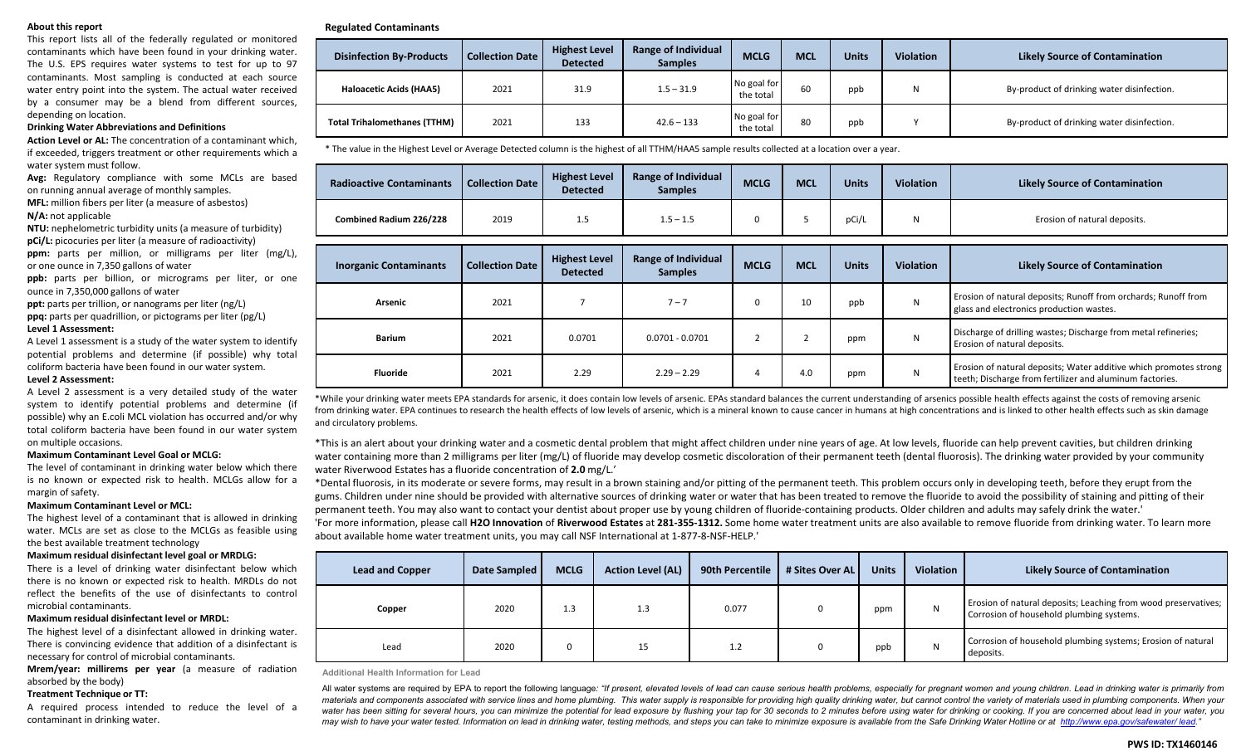#### **About this report**

This report lists all of the federally regulated or monitored contaminants which have been found in your drinking water. The U.S. EPS requires water systems to test for up to 97 contaminants. Most sampling is conducted at each source water entry point into the system. The actual water received by a consumer may be a blend from different sources, depending on location.

#### **Drinking Water Abbreviations and Definitions**

**Action Level or AL:** The concentration of a contaminant which, if exceeded, triggers treatment or other requirements which a water system must follow.

**Avg:** Regulatory compliance with some MCLs are based on running annual average of monthly samples.

**MFL:** million fibers per liter (a measure of asbestos)

**N/A:** not applicable

**NTU:** nephelometric turbidity units (a measure of turbidity)

**pCi/L:** picocuries per liter (a measure of radioactivity) **ppm:** parts per million, or milligrams per liter (mg/L), or one ounce in 7,350 gallons of water

**ppb:** parts per billion, or micrograms per liter, or one ounce in 7,350,000 gallons of water

**ppt:** parts per trillion, or nanograms per liter (ng/L)

**ppq:** parts per quadrillion, or pictograms per liter (pg/L) **Level 1 Assessment:**

A Level 1 assessment is a study of the water system to identify potential problems and determine (if possible) why total coliform bacteria have been found in our water system. **Level 2 Assessment:**

A Level 2 assessment is a very detailed study of the water system to identify potential problems and determine (if possible) why an E.coli MCL violation has occurred and/or why total coliform bacteria have been found in our water system on multiple occasions.

#### **Maximum Contaminant Level Goal or MCLG:**

The level of contaminant in drinking water below which there is no known or expected risk to health. MCLGs allow for a margin of safety.

#### **Maximum Contaminant Level or MCL:**

The highest level of a contaminant that is allowed in drinking water. MCLs are set as close to the MCLGs as feasible using the best available treatment technology

#### **Maximum residual disinfectant level goal or MRDLG:**

There is a level of drinking water disinfectant below which there is no known or expected risk to health. MRDLs do not reflect the benefits of the use of disinfectants to control microbial contaminants.

#### **Maximum residual disinfectant level or MRDL:**

The highest level of a disinfectant allowed in drinking water. There is convincing evidence that addition of a disinfectant is necessary for control of microbial contaminants.

**Mrem/year: millirems per year** (a measure of radiation absorbed by the body)

#### **Treatment Technique or TT:**

A required process intended to reduce the level of a contaminant in drinking water.

#### **Regulated Contaminants**

| <b>Disinfection By-Products</b>     | <b>Collection Date</b> | <b>Highest Level</b><br><b>Detected</b> | <b>Range of Individual</b><br><b>Samples</b> | <b>MCLG</b>              | <b>MCL</b> | <b>Units</b> | <b>Violation</b> | <b>Likely Source of Contamination</b>      |
|-------------------------------------|------------------------|-----------------------------------------|----------------------------------------------|--------------------------|------------|--------------|------------------|--------------------------------------------|
| Haloacetic Acids (HAA5)             | 2021                   | 31.9                                    | $1.5 - 31.9$                                 | No goal for<br>the total | 60         | ppb          | N                | By-product of drinking water disinfection. |
| <b>Total Trihalomethanes (TTHM)</b> | 2021                   | 133                                     | $42.6 - 133$                                 | No goal for<br>the total | 80         | ppb          |                  | By-product of drinking water disinfection. |

\* The value in the Highest Level or Average Detected column is the highest of all TTHM/HAA5 sample results collected at a location over a year.

| <b>Radioactive Contaminants</b> | <b>Collection Date</b> | <b>Highest Level</b><br><b>Detected</b> | <b>Range of Individual</b><br><b>Samples</b> | <b>MCLG</b> | <b>MCL</b>  | <b>Units</b> | <b>Violation</b> | <b>Likely Source of Contamination</b>                                                                                         |
|---------------------------------|------------------------|-----------------------------------------|----------------------------------------------|-------------|-------------|--------------|------------------|-------------------------------------------------------------------------------------------------------------------------------|
| Combined Radium 226/228         | 2019                   | 1.5                                     | $1.5 - 1.5$                                  | $\Omega$    | 5           | pCi/L        | N                | Erosion of natural deposits.                                                                                                  |
|                                 |                        |                                         |                                              |             |             |              |                  |                                                                                                                               |
| <b>Inorganic Contaminants</b>   | <b>Collection Date</b> | <b>Highest Level</b><br><b>Detected</b> | <b>Range of Individual</b><br><b>Samples</b> | <b>MCLG</b> | <b>MCL</b>  | <b>Units</b> | <b>Violation</b> | <b>Likely Source of Contamination</b>                                                                                         |
| Arsenic                         | 2021                   | $\overline{\phantom{a}}$                | $7 - 7$                                      | $\Omega$    | 10          | ppb          | N                | Erosion of natural deposits; Runoff from orchards; Runoff from<br>glass and electronics production wastes.                    |
| <b>Barium</b>                   | 2021                   | 0.0701                                  | $0.0701 - 0.0701$                            | Z           | $\sim$<br>∠ | ppm          | N                | Discharge of drilling wastes; Discharge from metal refineries;<br>Erosion of natural deposits.                                |
| Fluoride                        | 2021                   | 2.29                                    | $2.29 - 2.29$                                | 4           | 4.0         | ppm          | N                | Erosion of natural deposits; Water additive which promotes strong<br>teeth; Discharge from fertilizer and aluminum factories. |

\*While your drinking water meets EPA standards for arsenic, it does contain low levels of arsenic. EPAs standard balances the current understanding of arsenics possible health effects against the costs of removing arsenic from drinking water. EPA continues to research the health effects of low levels of arsenic, which is a mineral known to cause cancer in humans at high concentrations and is linked to other health effects such as skin damag and circulatory problems.

\*This is an alert about your drinking water and a cosmetic dental problem that might affect children under nine years of age. At low levels, fluoride can help prevent cavities, but children drinking water containing more than 2 milligrams per liter (mg/L) of fluoride may develop cosmetic discoloration of their permanent teeth (dental fluorosis). The drinking water provided by your community water Riverwood Estates has a fluoride concentration of **2.0** mg/L.'

\*Dental fluorosis, in its moderate or severe forms, may result in a brown staining and/or pitting of the permanent teeth. This problem occurs only in developing teeth, before they erupt from the gums. Children under nine should be provided with alternative sources of drinking water or water that has been treated to remove the fluoride to avoid the possibility of staining and pitting of their permanent teeth. You may also want to contact your dentist about proper use by young children of fluoride-containing products. Older children and adults may safely drink the water.'

'For more information, please call **H2O Innovation** of **Riverwood Estates** at **281-355-1312.** Some home water treatment units are also available to remove fluoride from drinking water. To learn more about available home water treatment units, you may call NSF International at 1-877-8-NSF-HELP.'

| <b>Lead and Copper</b> | <b>Date Sampled</b> | <b>MCLG</b> | <b>Action Level (AL)</b> | 90th Percentile 1 | # Sites Over AL | <b>Units</b> | Violation | <b>Likely Source of Contamination</b>                                                                      |
|------------------------|---------------------|-------------|--------------------------|-------------------|-----------------|--------------|-----------|------------------------------------------------------------------------------------------------------------|
| Copper                 | 2020                | 1.3         | 1.3                      | 0.077             |                 | ppm          | N         | Erosion of natural deposits; Leaching from wood preservatives;<br>Corrosion of household plumbing systems. |
| Lead                   | 2020                |             | ب 1                      | 1.2               |                 | ppb          | N         | Corrosion of household plumbing systems; Erosion of natural<br>deposits.                                   |

**Additional Health Information for Lead**

All water systems are required by EPA to report the following language: "If present, elevated levels of lead can cause serious health problems, especially for pregnant women and young children. Lead in drinking water is pr materials and components associated with service lines and home plumbing. This water supply is responsible for providing high quality drinking water, but cannot control the variety of materials used in plumbing components. water has been sitting for several hours, you can minimize the potential for lead exposure by flushing your tap for 30 seconds to 2 minutes before using water for drinking or cooking. If you are concerned about lead in you may wish to have your water tested. Information on lead in drinking water, testing methods, and steps you can take to minimize exposure is available from the Safe Drinking Water Hotline or at [http://www.epa.gov/safewater/](http://www.epa.gov/safewater/lead)